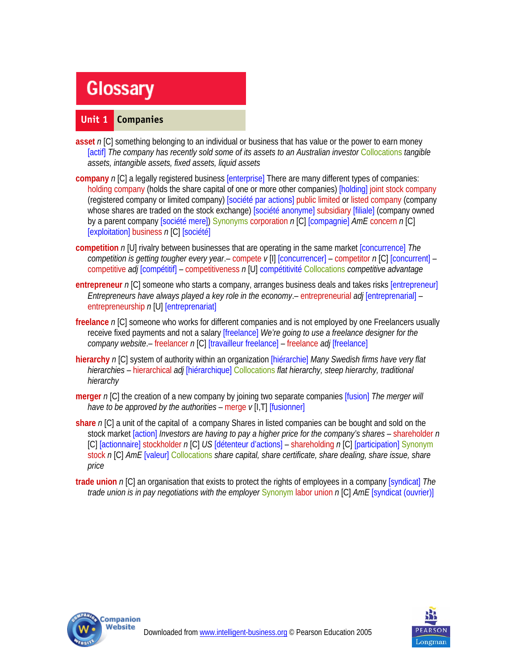# **Glossary**

## **Unit 1 Companies**

- **asset** *n* [C] something belonging to an individual or business that has value or the power to earn money [actif] *The company has recently sold some of its assets to an Australian investor* Collocations *tangible assets, intangible assets, fixed assets, liquid assets*
- **company** *n* [C] a legally registered business [enterprise] There are many different types of companies: holding company (holds the share capital of one or more other companies) [holding] joint stock company (registered company or limited company) [société par actions] public limited or listed company (company whose shares are traded on the stock exchange) [société anonyme] subsidiary [filiale] (company owned by a parent company [société mere]) Synonyms corporation *n* [C] [compagnie] *AmE* concern *n* [C] [exploitation] business *n* [C] [société]
- **competition** *n* [U] rivalry between businesses that are operating in the same market [concurrence] *The competition is getting tougher every year*.– compete *v* [I] [concurrencer] – competitor *n* [C] [concurrent] – competitive *adj* [compétitif] – competitiveness *n* [U] compétitivité Collocations *competitive advantage*
- **entrepreneur** *n* [C] someone who starts a company, arranges business deals and takes risks [entrepreneur] *Entrepreneurs have always played a key role in the economy*.– entrepreneurial *adj* [entreprenarial] – entrepreneurship *n* [U] [entreprenariat]
- **freelance** *n* [C] someone who works for different companies and is not employed by one Freelancers usually receive fixed payments and not a salary [freelance] *We're going to use a freelance designer for the company website*.– freelancer *n* [C] [travailleur freelance] – freelance *adj* [freelance]
- **hierarchy** *n* [C] system of authority within an organization [hiérarchie] *Many Swedish firms have very flat hierarchies* – hierarchical *adj* [hiérarchique] Collocations *flat hierarchy, steep hierarchy, traditional hierarchy*
- **merger** *n* [C] the creation of a new company by joining two separate companies [fusion] *The merger will have to be approved by the authorities* – merge *v* [I,T] [fusionner]
- **share** *n* [C] a unit of the capital of a company Shares in listed companies can be bought and sold on the stock market [action] *Investors are having to pay a higher price for the company's shares* – shareholder *n* [C] [actionnaire] stockholder *n* [C] *US* [détenteur d'actions] – shareholding *n* [C] [participation] Synonym stock *n* [C] *AmE* [valeur] Collocations *share capital, share certificate, share dealing, share issue, share price*
- **trade union** *n* [C] an organisation that exists to protect the rights of employees in a company [syndicat] *The trade union is in pay negotiations with the employer* Synonym labor union *n* [C] *AmE* [syndicat (ouvrier)]



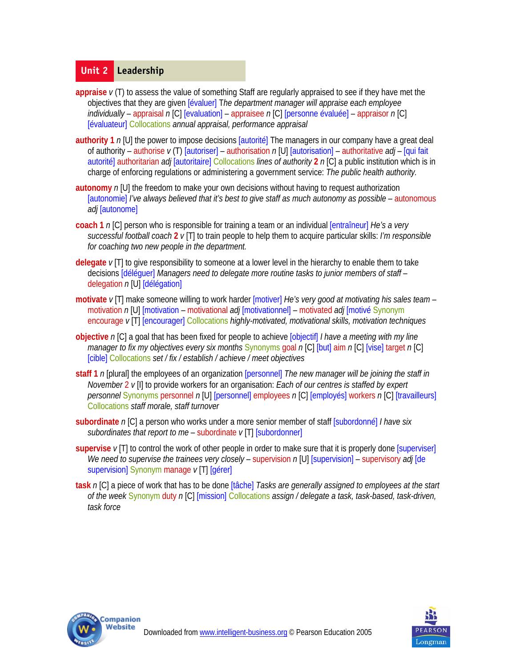## **Unit 2 Leadership**

- **appraise** *v* (T) to assess the value of something Staff are regularly appraised to see if they have met the objectives that they are given [évaluer] T*he department manager will appraise each employee individually* – appraisal *n* [C] [evaluation] – appraisee *n* [C] [personne évaluée] – appraisor *n* [C] [évaluateur] Collocations *annual appraisal, performance appraisal*
- **authority 1** *n* [U] the power to impose decisions [autorité] The managers in our company have a great deal of authority – authorise *v* (T) [autoriser] – authorisation *n* [U] [autorisation] – authoritative *adj* – [qui fait autorité] authoritarian *adj* [autoritaire] Collocations *lines of authority* **2** *n* [C] a public institution which is in charge of enforcing regulations or administering a government service: *The public health authority.*
- **autonomy** *n* [U] the freedom to make your own decisions without having to request authorization [autonomie] I've always believed that it's best to give staff as much autonomy as possible - autonomous *adj* [autonome]
- **coach 1** *n* [C] person who is responsible for training a team or an individual [entraîneur] *He's a very successful football coach* **2** *v* [T] to train people to help them to acquire particular skills: *I'm responsible for coaching two new people in the department.*
- **delegate** *v* [T] to give responsibility to someone at a lower level in the hierarchy to enable them to take decisions [déléguer] *Managers need to delegate more routine tasks to junior members of staff* – delegation *n* [U] [délégation]
- **motivate** *v* [T] make someone willing to work harder [motiver] *He's very good at motivating his sales team* motivation *n* [U] [motivation – motivational *adj* [motivationnel] – motivated *adj* [motivé Synonym encourage *v* [T] [encourager] Collocations *highly-motivated, motivational skills, motivation techniques*
- **objective** *n* [C] a goal that has been fixed for people to achieve [objectif] *I have a meeting with my line manager to fix my objectives every six months* Synonyms goal *n* [C] [but] aim *n* [C] [vise] target *n* [C] [cible] Collocations *set / fix / establish / achieve / meet objectives*
- **staff 1** *n* [plural] the employees of an organization [personnel] *The new manager will be joining the staff in November* 2 *v* [I] to provide workers for an organisation: *Each of our centres is staffed by expert personnel* Synonyms personnel *n* [U] [personnel] employees *n* [C] [employés] workers *n* [C] [travailleurs] Collocations *staff morale, staff turnover*
- **subordinate** *n* [C] a person who works under a more senior member of staff [subordonné] *I have six subordinates that report to me* – subordinate *v* [T] [subordonner]
- **supervise** *v* [T] to control the work of other people in order to make sure that it is properly done [superviser] *We need to supervise the trainees very closely* – supervision *n* [U] [supervision] – supervisory *adj* [de supervision] Synonym manage *v* [T] [gérer]
- **task** *n* [C] a piece of work that has to be done [tâche] *Tasks are generally assigned to employees at the start of the week* Synonym duty *n* [C] [mission] Collocations *assign / delegate a task, task-based, task-driven, task force*



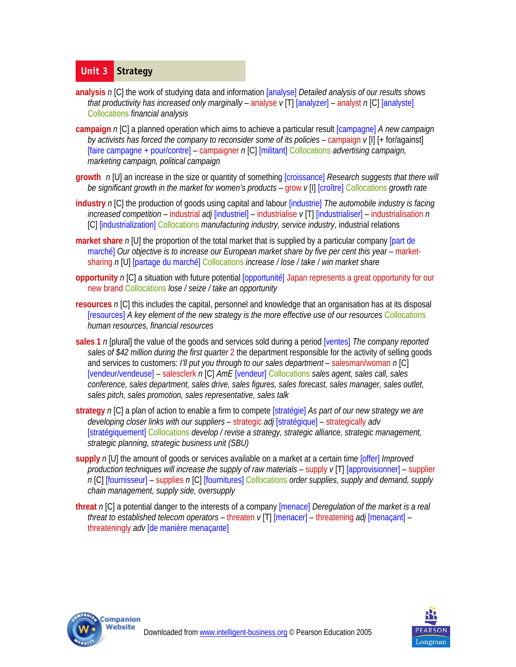# **Unit 3 Strategy**

- **analysis** *n* [C] the work of studying data and information [analyse] *Detailed analysis of our results shows that productivity has increased only marginally* – analyse *v* [T] [analyzer] – analyst *n* [C] [analyste] Collocations *financial analysis*
- **campaign** *n* [C] a planned operation which aims to achieve a particular result [campagne] *A new campaign by activists has forced the company to reconsider some of its policies* – campaign *v* [I] [+ for/against] [faire campagne + pour/contre] – campaigner *n* [C] [militant] Collocations *advertising campaign, marketing campaign, political campaign*
- **growth** *n* [U] an increase in the size or quantity of something [croissance] *Research suggests that there will be significant growth in the market for women's products* – grow *v* [I] [croître] Collocations *growth rate*
- **industry** *n* [C] the production of goods using capital and labour [industrie] *The automobile industry is facing increased competition* – industrial *adj* [industriel] – industrialise *v* [T] [industrialiser] – industrialisation *n* [C] [industrialization] Collocations *manufacturing industry, service industry*, industrial relations
- **market share** *n* [U] the proportion of the total market that is supplied by a particular company [part de marché] *Our objective is to increase our European market share by five per cent this year* – marketsharing *n* [U] [partage du marché] Collocations *increase / lose / take / win market share*
- **opportunity** *n* [C] a situation with future potential [opportunité] Japan represents a great opportunity for our new brand Collocations *lose / seize / take an opportunity*
- **resources** *n* [C] this includes the capital, personnel and knowledge that an organisation has at its disposal [resources] *A key element of the new strategy is the more effective use of our resources* Collocations *human resources, financial resources*
- **sales 1** *n* [plural] the value of the goods and services sold during a period [ventes] *The company reported sales of \$42 million during the first quarter* 2 the department responsible for the activity of selling goods and services to customers: *I'll put you through to our sales department* – salesman/woman *n* [C] [vendeur/vendeuse] – salesclerk *n* [C] *AmE* [vendeur] Collocations *sales agent, sales call, sales conference, sales department, sales drive, sales figures, sales forecast, sales manager, sales outlet, sales pitch, sales promotion, sales representative, sales talk*
- **strategy** *n* [C] a plan of action to enable a firm to compete [stratégie] *As part of our new strategy we are developing closer links with our suppliers* – strategic *adj* [stratégique] – strategically *adv* [stratégiquement] Collocations *develop / revise a strategy, strategic alliance, strategic management, strategic planning, strategic business unit (SBU)*
- **supply** *n* [U] the amount of goods or services available on a market at a certain time [offer] *Improved production techniques will increase the supply of raw materials* – supply *v* [T] [approvisionner] – supplier *n* [C] [fournisseur] – supplies *n* [C] [fournitures] Collocations *order supplies, supply and demand, supply chain management, supply side, oversupply*
- **threat** *n* [C] a potential danger to the interests of a company [menace] *Deregulation of the market is a real threat to established telecom operators* – threaten *v* [T] [menacer] – threatening *adj* [menaçant] – threateningly *adv* [de manière menaçante]



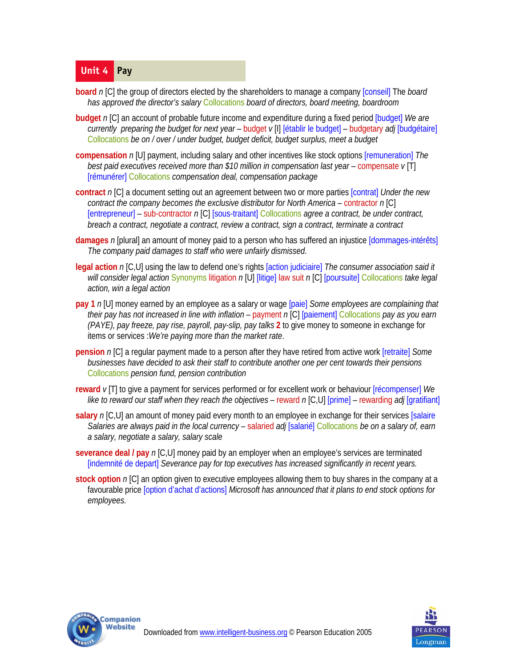# **Unit 4 Pay**

- **board** *n* [C] the group of directors elected by the shareholders to manage a company [conseil] The *board has approved the director's salary* Collocations *board of directors, board meeting, boardroom*
- **budget** *n* [C] an account of probable future income and expenditure during a fixed period [budget] *We are currently preparing the budget for next year* – budget *v* [I] [établir le budget] – budgetary *adj* [budgétaire] Collocations *be on / over / under budget, budget deficit, budget surplus, meet a budget*
- **compensation** *n* [U] payment, including salary and other incentives like stock options [remuneration] *The best paid executives received more than \$10 million in compensation last year* – compensate *v* [T] [rémunérer] Collocations *compensation deal, compensation package*
- **contract** *n* [C] a document setting out an agreement between two or more parties [contrat] *Under the new contract the company becomes the exclusive distributor for North America* – contractor *n* [C] [entrepreneur] – sub-contractor *n* [C] [sous-traitant] Collocations *agree a contract, be under contract, breach a contract, negotiate a contract, review a contract, sign a contract, terminate a contract*
- **damages** *n* [plural] an amount of money paid to a person who has suffered an injustice [dommages-intérêts] *The company paid damages to staff who were unfairly dismissed*.
- **legal action** *n* [C,U] using the law to defend one's rights [action judiciaire] *The consumer association said it will consider legal action* Synonyms litigation *n* [U] [litige] law suit *n* [C] [poursuite] Collocations *take legal action, win a legal action*
- **pay 1** *n* [U] money earned by an employee as a salary or wage [paie] *Some employees are complaining that their pay has not increased in line with inflation* – payment *n* [C] [paiement] Collocations *pay as you earn (PAYE), pay freeze, pay rise, payroll, pay-slip, pay talks* **2** to give money to someone in exchange for items or services :*We're paying more than the market rate*.
- **pension** *n* [C] a regular payment made to a person after they have retired from active work [retraite] *Some businesses have decided to ask their staff to contribute another one per cent towards their pensions*  Collocations *pension fund, pension contribution*
- **reward** *v* [T] to give a payment for services performed or for excellent work or behaviour [récompenser] *We like to reward our staff when they reach the objectives* – reward *n* [C,U] [prime] – rewarding *adj* [gratifiant]
- **salary** *n* [C,U] an amount of money paid every month to an employee in exchange for their services [salaire] *Salaries are always paid in the local currency* – salaried *adj* [salarié] Collocations *be on a salary of, earn a salary, negotiate a salary, salary scale*
- **severance deal / pay** *n* [C,U] money paid by an employer when an employee's services are terminated [indemnité de depart] *Severance pay for top executives has increased significantly in recent years.*
- **stock option** *n* [C] an option given to executive employees allowing them to buy shares in the company at a favourable price [option d'achat d'actions] *Microsoft has announced that it plans to end stock options for employees.*



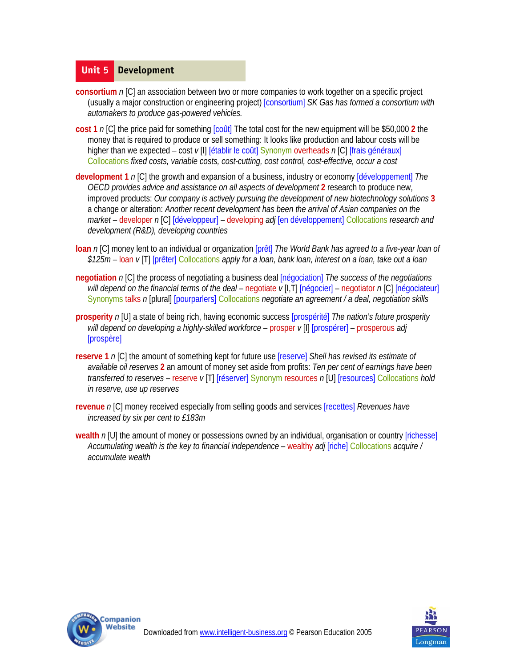#### **Unit 5 Development**

- **consortium** *n* [C] an association between two or more companies to work together on a specific project (usually a major construction or engineering project) [consortium] *SK Gas has formed a consortium with automakers to produce gas-powered vehicles.*
- **cost 1** *n* [C] the price paid for something [coût] The total cost for the new equipment will be \$50,000 **2** the money that is required to produce or sell something: It looks like production and labour costs will be higher than we expected – cost *v* [I] [établir le coût] Synonym overheads *n* [C] [frais généraux] Collocations *fixed costs, variable costs, cost-cutting, cost control, cost-effective, occur a cost*
- **development 1** *n* [C] the growth and expansion of a business, industry or economy [développement] *The OECD provides advice and assistance on all aspects of development* **2** research to produce new, improved products: *Our company is actively pursuing the development of new biotechnology solutions* **3**  a change or alteration: *Another recent development has been the arrival of Asian companies on the market* – developer *n* [C] [développeur] – developing *adj* [en développement] Collocations *research and development (R&D), developing countries*
- **loan** *n* [C] money lent to an individual or organization [prêt] *The World Bank has agreed to a five-year loan of \$125m* – loan *v* [T] [prêter] Collocations *apply for a loan, bank loan, interest on a loan, take out a loan*
- **negotiation** *n* [C] the process of negotiating a business deal [négociation] *The success of the negotiations will depend on the financial terms of the deal* – negotiate *v* [I,T] [négocier] – negotiator *n* [C] [négociateur] Synonyms talks *n* [plural] [pourparlers] Collocations *negotiate an agreement / a deal, negotiation skills*
- **prosperity** *n* [U] a state of being rich, having economic success [prospérité] *The nation's future prosperity will depend on developing a highly-skilled workforce* – prosper *v* [I] [prospérer] – prosperous *adj*  [prospère]
- **reserve 1** *n* [C] the amount of something kept for future use [reserve] *Shell has revised its estimate of available oil reserves* **2** an amount of money set aside from profits: *Ten per cent of earnings have been transferred to reserves* – reserve *v* [T] [réserver] Synonym resources *n* [U] [resources] Collocations *hold in reserve, use up reserves*
- **revenue** *n* [C] money received especially from selling goods and services [recettes] *Revenues have increased by six per cent to £183m*
- **wealth** n [U] the amount of money or possessions owned by an individual, organisation or country [richesse] *Accumulating wealth is the key to financial independence* – wealthy *adj* [riche] Collocations *acquire / accumulate wealth*



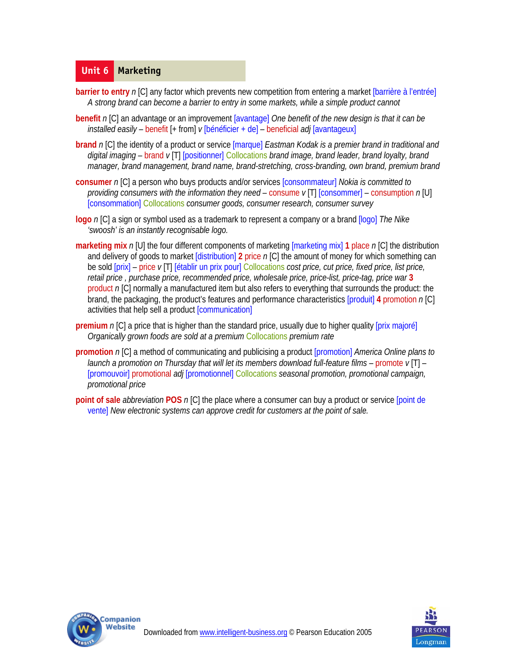#### **Unit 6 Marketing**

- **barrier to entry** *n* [C] any factor which prevents new competition from entering a market [barrière à l'entrée] *A strong brand can become a barrier to entry in some markets, while a simple product cannot*
- **benefit** *n* [C] an advantage or an improvement [avantage] *One benefit of the new design is that it can be installed easily* – benefit [+ from] *v* [bénéficier + de] – beneficial *adj* [avantageux]
- **brand** *n* [C] the identity of a product or service [marque] *Eastman Kodak is a premier brand in traditional and digital imaging* – brand *v* [T] [positionner] Collocations *brand image, brand leader, brand loyalty, brand manager, brand management, brand name, brand-stretching, cross-branding, own brand, premium brand*
- **consumer** *n* [C] a person who buys products and/or services [consommateur] *Nokia is committed to providing consumers with the information they need* – consume *v* [T] [consommer] – consumption *n* [U] [consommation] Collocations *consumer goods, consumer research, consumer survey*
- **logo** *n* [C] a sign or symbol used as a trademark to represent a company or a brand [logo] *The Nike 'swoosh' is an instantly recognisable logo.*
- **marketing mix** *n* [U] the four different components of marketing [marketing mix] **1** place *n* [C] the distribution and delivery of goods to market [distribution] **2** price *n* [C] the amount of money for which something can be sold [prix] – price *v* [T] [établir un prix pour] Collocations *cost price, cut price, fixed price, list price, retail price , purchase price, recommended price, wholesale price, price-list, price-tag, price war* **3**  product *n* [C] normally a manufactured item but also refers to everything that surrounds the product: the brand, the packaging, the product's features and performance characteristics [produit] **4** promotion *n* [C] activities that help sell a product [communication]
- **premium** n [C] a price that is higher than the standard price, usually due to higher quality [prix majoré] *Organically grown foods are sold at a premium* Collocations *premium rate*
- **promotion** *n* [C] a method of communicating and publicising a product [promotion] *America Online plans to launch a promotion on Thursday that will let its members download full-feature films* – promote *v* [T] – [promouvoir] promotional *adj* [promotionnel] Collocations *seasonal promotion, promotional campaign, promotional price*
- **point of sale** *abbreviation* **POS** *n* [C] the place where a consumer can buy a product or service [point de vente] *New electronic systems can approve credit for customers at the point of sale.*



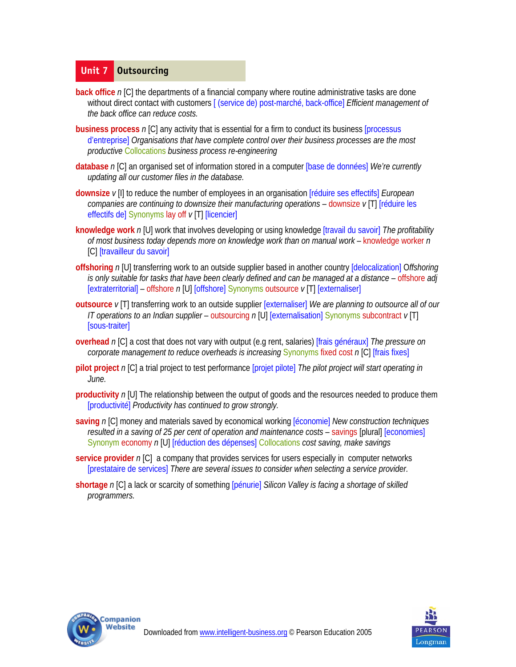## **Unit 7 Outsourcing**

- **back office** n [C] the departments of a financial company where routine administrative tasks are done without direct contact with customers [ (service de) post-marché, back-office] *Efficient management of the back office can reduce costs.*
- **business process** *n* [C] any activity that is essential for a firm to conduct its business [processus d'entreprise] *Organisations that have complete control over their business processes are the most productive* Collocations *business process re-engineering*
- **database** *n* [C] an organised set of information stored in a computer [base de données] *We're currently updating all our customer files in the database.*
- **downsize** *v* [I] to reduce the number of employees in an organisation [réduire ses effectifs] *European companies are continuing to downsize their manufacturing operations* – downsize *v* [T] [réduire les effectifs de] Synonyms lay off *v* [T] [licencier]
- **knowledge work** *n* [U] work that involves developing or using knowledge [travail du savoir] *The profitability of most business today depends more on knowledge work than on manual work* – knowledge worker *n* [C] [travailleur du savoir]
- **offshoring** *n* [U] transferring work to an outside supplier based in another country [delocalization] O*ffshoring is only suitable for tasks that have been clearly defined and can be managed at a distance* – offshore *adj*  [extraterritorial] – offshore *n* [U] [offshore] Synonyms outsource *v* [T] [externaliser]
- **outsource** *v* [T] transferring work to an outside supplier [externaliser] *We are planning to outsource all of our IT operations to an Indian supplier* – outsourcing *n* [U] [externalisation] Synonyms subcontract *v* [T] [sous-traiter]
- **overhead** *n* [C] a cost that does not vary with output (e.g rent, salaries) [frais généraux] *The pressure on corporate management to reduce overheads is increasing Synonyms fixed cost n [C] [frais fixes]*
- **pilot project** *n* [C] a trial project to test performance [projet pilote] *The pilot project will start operating in June.*
- **productivity** *n* [U] The relationship between the output of goods and the resources needed to produce them [productivité] *Productivity has continued to grow strongly.*
- **saving** *n* [C] money and materials saved by economical working [économie] *New construction techniques resulted in a saving of 25 per cent of operation and maintenance costs – savings [plural] [economies]* Synonym economy *n* [U] [réduction des dépenses] Collocations *cost saving, make savings*
- **service provider** *n* [C] a company that provides services for users especially in computer networks [prestataire de services] *There are several issues to consider when selecting a service provider.*
- **shortage** *n* [C] a lack or scarcity of something [pénurie] *Silicon Valley is facing a shortage of skilled programmers.*



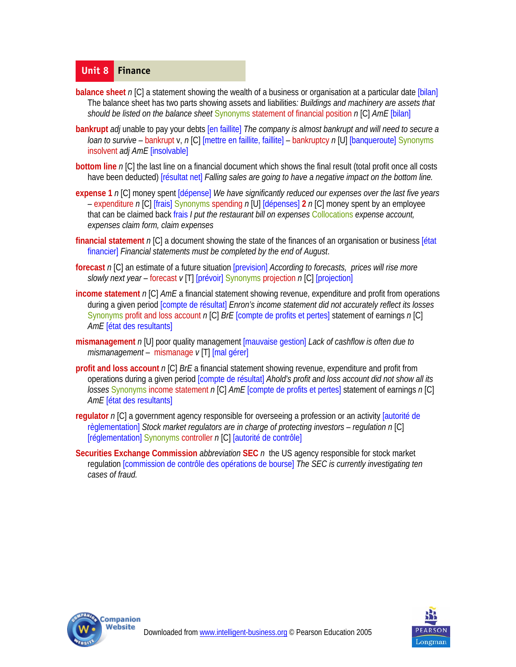#### **Unit 8 Finance**

- **balance sheet** n [C] a statement showing the wealth of a business or organisation at a particular date [bilan] The balance sheet has two parts showing assets and liabilities*: Buildings and machinery are assets that should be listed on the balance sheet* Synonyms statement of financial position *n* [C] *AmE* [bilan]
- **bankrupt** *adj* unable to pay your debts [en faillite] *The company is almost bankrupt and will need to secure a loan to survive* – bankrupt v, *n* [C] [mettre en faillite, faillite] – bankruptcy *n* [U] [banqueroute] Synonyms insolvent *adj AmE* [insolvable]
- **bottom line** n [C] the last line on a financial document which shows the final result (total profit once all costs have been deducted) [résultat net] *Falling sales are going to have a negative impact on the bottom line.*
- **expense 1** *n* [C] money spent [dépense] *We have significantly reduced our expenses over the last five years*  – expenditure *n* [C] [frais] Synonyms spending *n* [U] [dépenses] **2** *n* [C] money spent by an employee that can be claimed back frais *I put the restaurant bill on expenses* Collocations *expense account, expenses claim form, claim expenses*
- **financial statement** *n* [C] a document showing the state of the finances of an organisation or business [état financier] *Financial statements must be completed by the end of August*.
- **forecast** *n* [C] an estimate of a future situation [prevision] *According to forecasts, prices will rise more slowly next year* – forecast *v* [T] [prévoir] Synonyms projection *n* [C] [projection]
- **income statement** *n* [C] *AmE* a financial statement showing revenue, expenditure and profit from operations during a given period [compte de résultat] *Enron's income statement did not accurately reflect its losses*  Synonyms profit and loss account *n* [C] *BrE* [compte de profits et pertes] statement of earnings *n* [C] *AmE* [état des resultants]
- **mismanagement** *n* [U] poor quality management [mauvaise gestion] *Lack of cashflow is often due to mismanagement* – mismanage *v* [T] [mal gérer]
- **profit and loss account** *n* [C] *BrE* a financial statement showing revenue, expenditure and profit from operations during a given period [compte de résultat] *Ahold's profit and loss account did not show all its losses* Synonyms income statement *n* [C] *AmE* [compte de profits et pertes] statement of earnings *n* [C] *AmE* [état des resultants]
- **regulator** *n* [C] a government agency responsible for overseeing a profession or an activity [autorité de règlementation] *Stock market regulators are in charge of protecting investors – regulation n* [C] [réglementation] Synonyms controller *n* [C] [autorité de contrôle]
- **Securities Exchange Commission** *abbreviation* **SEC** *n* the US agency responsible for stock market regulation [commission de contrôle des opérations de bourse] *The SEC is currently investigating ten cases of fraud.*



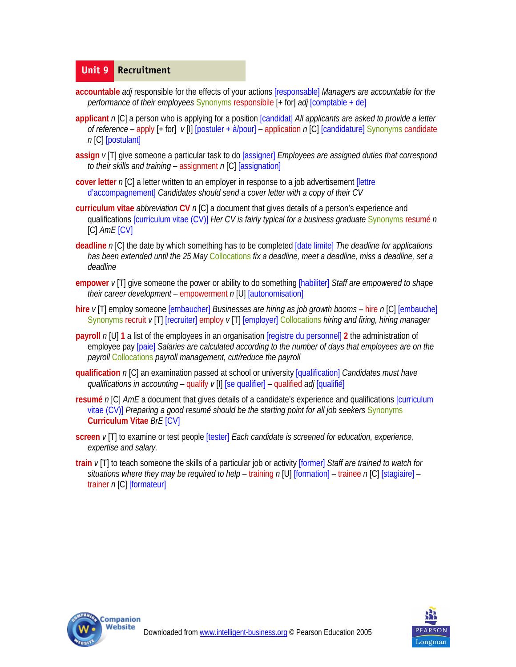#### **Unit 9 Recruitment**

- **accountable** *adj* responsible for the effects of your actions [responsable] *Managers are accountable for the performance of their employees* Synonyms responsibile [+ for] *adj* [comptable + de]
- **applicant** *n* [C] a person who is applying for a position [candidat] *All applicants are asked to provide a letter of reference* – apply [+ for] *v* [I] [postuler + à/pour] – application *n* [C] [candidature] Synonyms candidate *n* [C] [postulant]
- **assign** *v* [T] give someone a particular task to do [assigner] *Employees are assigned duties that correspond to their skills and training* – assignment *n* [C] [assignation]
- **cover letter** *n* [C] a letter written to an employer in response to a job advertisement [lettre d'accompagnement] *Candidates should send a cover letter with a copy of their CV*
- **curriculum vitae** *abbreviation* **CV** *n* [C] a document that gives details of a person's experience and qualifications [curriculum vitae (CV)] *Her CV is fairly typical for a business graduate* Synonyms resumé *n*  [C] *AmE* [CV]
- **deadline** *n* [C] the date by which something has to be completed [date limite] *The deadline for applications has been extended until the 25 May* Collocations *fix a deadline, meet a deadline, miss a deadline, set a deadline*
- **empower** *v* [T] give someone the power or ability to do something [habiliter] *Staff are empowered to shape their career development* – empowerment *n* [U] [autonomisation]
- **hire** *v* [T] employ someone [embaucher] *Businesses are hiring as job growth booms* hire *n* [C] [embauche] Synonyms recruit *v* [T] [recruiter] employ *v* [T] [employer] Collocations *hiring and firing, hiring manager*
- **payroll** *n* [U] **1** a list of the employees in an organisation [registre du personnel] **2** the administration of employee pay [paie] *Salaries are calculated according to the number of days that employees are on the payroll* Collocations *payroll management, cut/reduce the payroll*
- **qualification** *n* [C] an examination passed at school or university [qualification] *Candidates must have qualifications in accounting* – qualify *v* [I] [se qualifier] – qualified *adj* [qualifié]
- **resumé** *n* [C] *AmE* a document that gives details of a candidate's experience and qualifications [curriculum vitae (CV)] *Preparing a good resumé should be the starting point for all job seekers* Synonyms **Curriculum Vitae** *BrE* [CV]
- **screen** *v* [T] to examine or test people [tester] *Each candidate is screened for education, experience, expertise and salary.*
- **train** *v* [T] to teach someone the skills of a particular job or activity [former] *Staff are trained to watch for situations where they may be required to help* – training *n* [U] [formation] – trainee *n* [C] [stagiaire] – trainer *n* [C] [formateur]



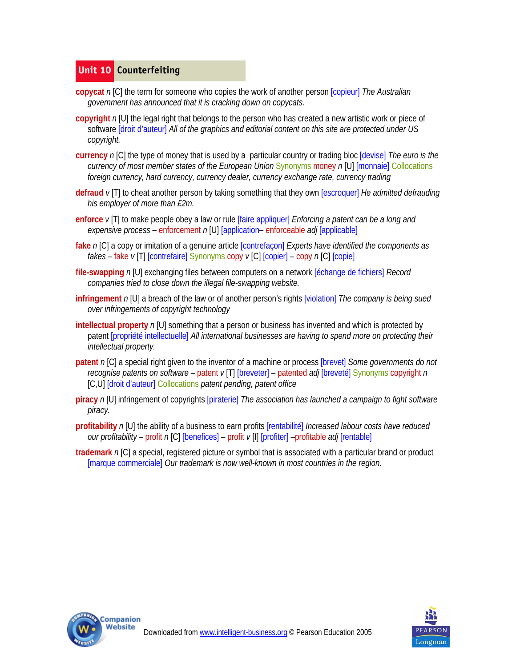## **Unit 10 Counterfeiting**

- **copycat** *n* [C] the term for someone who copies the work of another person [copieur] *The Australian government has announced that it is cracking down on copycats.*
- **copyright** *n* [U] the legal right that belongs to the person who has created a new artistic work or piece of software [droit d'auteur] *All of the graphics and editorial content on this site are protected under US copyright.*
- **currency** *n* [C] the type of money that is used by a particular country or trading bloc [devise] *The euro is the currency of most member states of the European Union* Synonyms money *n* [U] [monnaie] Collocations *foreign currency, hard currency, currency dealer, currency exchange rate, currency trading*
- **defraud** *v* [T] to cheat another person by taking something that they own [escroquer] *He admitted defrauding his employer of more than £2m.*
- **enforce** *v* [T| to make people obey a law or rule [faire appliquer] *Enforcing a patent can be a long and expensive process* – enforcement *n* [U] [application– enforceable *adj* [applicable]
- **fake** *n* [C] a copy or imitation of a genuine article [contrefaçon] *Experts have identified the components as fakes* – fake *v* [T] [contrefaire] Synonyms copy *v* [C] [copier] – copy *n* [C] [copie]
- **file-swapping** *n* [U] exchanging files between computers on a network [échange de fichiers] *Record companies tried to close down the illegal file-swapping website.*
- **infringement** *n* [U] a breach of the law or of another person's rights [violation] *The company is being sued over infringements of copyright technology*
- **intellectual property** n [U] something that a person or business has invented and which is protected by patent [propriété intellectuelle] *All international businesses are having to spend more on protecting their intellectual property.*
- **patent** *n* [C] a special right given to the inventor of a machine or process [brevet] *Some governments do not recognise patents on software* – patent *v* [T] [breveter] – patented *adj* [breveté] Synonyms copyright *n*  [C,U] [droit d'auteur] Collocations *patent pending, patent office*
- **piracy** *n* [U] infringement of copyrights [piraterie] *The association has launched a campaign to fight software piracy.*
- **profitability** *n* [U] the ability of a business to earn profits [rentabilité] *Increased labour costs have reduced our profitability* – profit *n* [C] [benefices] – profit *v* [I] [profiter] –profitable *adj* [rentable]
- **trademark** *n* [C] a special, registered picture or symbol that is associated with a particular brand or product [marque commerciale] *Our trademark is now well-known in most countries in the region.*



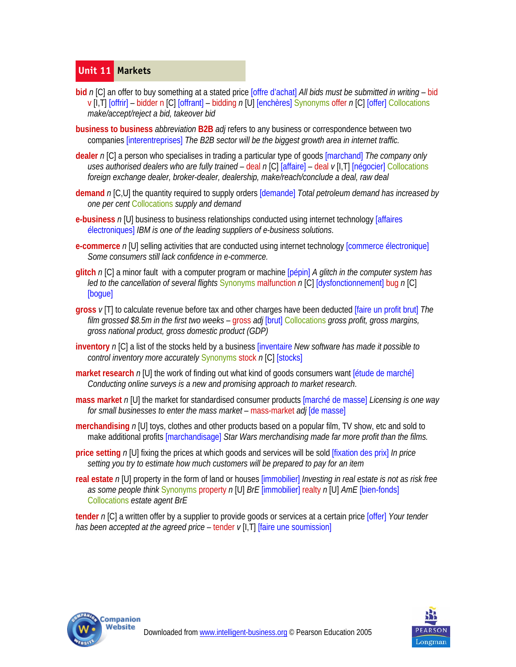## **Unit 11 Markets**

- **bid** *n* [C] an offer to buy something at a stated price [offre d'achat] *All bids must be submitted in writing*  bid v [I,T] [offrir] – bidder n [C] [offrant] – bidding *n* [U] [enchères] Synonyms offer *n* [C] [offer] Collocations *make/accept/reject a bid, takeover bid*
- **business to business** *abbreviation* **B2B** *adj* refers to any business or correspondence between two companies [interentreprises] *The B2B sector will be the biggest growth area in internet traffic.*
- **dealer** *n* [C] a person who specialises in trading a particular type of goods [marchand] *The company only uses authorised dealers who are fully trained* – deal *n* [C] [affaire] – deal *v* [I,T] [négocier] Collocations *foreign exchange dealer, broker-dealer, dealership, make/reach/conclude a deal, raw deal*
- **demand** *n* [C,U] the quantity required to supply orders [demande] *Total petroleum demand has increased by one per cent* Collocations *supply and demand*
- **e-business** *n* [U] business to business relationships conducted using internet technology [affaires électroniques] *IBM is one of the leading suppliers of e-business solutions*.
- **e-commerce** *n* [U] selling activities that are conducted using internet technology *commerce électronique*] *Some consumers still lack confidence in e-commerce.*
- **glitch** *n* [C] a minor fault with a computer program or machine [pépin] *A glitch in the computer system has led to the cancellation of several flights* Synonyms malfunction *n* [C] [dysfonctionnement] bug *n* [C] [bogue]
- **gross** *v* [T] to calculate revenue before tax and other charges have been deducted [faire un profit brut] *The film grossed \$8.5m in the first two weeks* – gross *adj* [brut] Collocations *gross profit, gross margins, gross national product, gross domestic product (GDP)*
- **inventory** *n* [C] a list of the stocks held by a business [inventaire *New software has made it possible to control inventory more accurately* Synonyms stock *n* [C] [stocks]
- **market research** n [U] the work of finding out what kind of goods consumers want [étude de marché] *Conducting online surveys is a new and promising approach to market research*.
- **mass market** *n* [U] the market for standardised consumer products [marché de masse] *Licensing is one way for small businesses to enter the mass market* – mass-market *adj* [de masse]
- **merchandising** *n* [U] toys, clothes and other products based on a popular film, TV show, etc and sold to make additional profits [marchandisage] *Star Wars merchandising made far more profit than the films.*
- **price setting** *n* [U] fixing the prices at which goods and services will be sold [fixation des prix] *In price setting you try to estimate how much customers will be prepared to pay for an item*
- **real estate** *n* [U] property in the form of land or houses [immobilier] *Investing in real estate is not as risk free as some people think* Synonyms property *n* [U] *BrE* [immobilier] realty *n* [U] *AmE* [bien-fonds] Collocations *estate agent BrE*

**tender** *n* [C] a written offer by a supplier to provide goods or services at a certain price [offer] *Your tender has been accepted at the agreed price* – tender  $\nu$  [I, T] [faire une soumission]



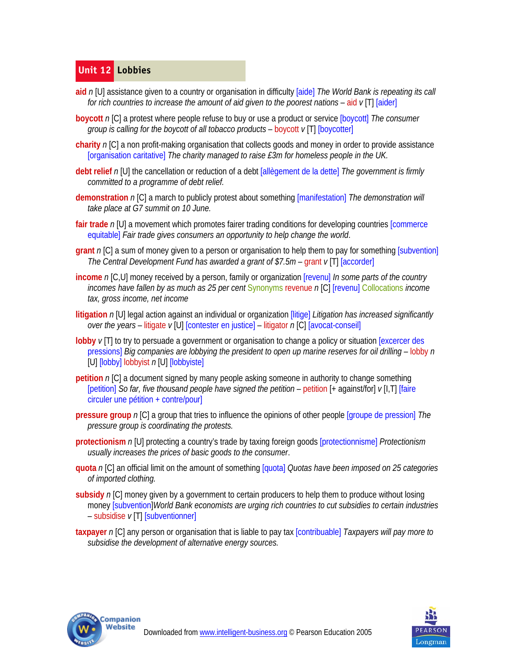# **Unit 12 Lobbies**

- **aid** *n* [U] assistance given to a country or organisation in difficulty [aide] *The World Bank is repeating its call for rich countries to increase the amount of aid given to the poorest nations* – aid *v* [T] [aider]
- **boycott** *n* [C] a protest where people refuse to buy or use a product or service [boycott] *The consumer group is calling for the boycott of all tobacco products – boycott v* [T] [boycotter]
- **charity** *n* [C] a non profit-making organisation that collects goods and money in order to provide assistance [organisation caritative] *The charity managed to raise £3m for homeless people in the UK.*
- **debt relief** *n* [U] the cancellation or reduction of a debt [allègement de la dette] *The government is firmly committed to a programme of debt relief.*
- **demonstration** *n* [C] a march to publicly protest about something [manifestation] *The demonstration will take place at G7 summit on 10 June.*
- **fair trade** *n* [U] a movement which promotes fairer trading conditions for developing countries [commerce equitable] *Fair trade gives consumers an opportunity to help change the world*.
- **grant** *n* [C] a sum of money given to a person or organisation to help them to pay for something [subvention] *The Central Development Fund has awarded a grant of \$7.5m* – grant *v* [T] [accorder]
- **income** *n* [C,U] money received by a person, family or organization [revenu] *In some parts of the country incomes have fallen by as much as 25 per cent* Synonyms revenue *n* [C] [revenu] Collocations *income tax, gross income, net income*
- **litigation** *n* [U] legal action against an individual or organization [litige] *Litigation has increased significantly over the years* – litigate *v* [U] [contester en justice] – litigator *n* [C] [avocat-conseil]
- **lobby** *v* [T] to try to persuade a government or organisation to change a policy or situation [excercer des pressions] *Big companies are lobbying the president to open up marine reserves for oil drilling – lobby n* [U] [lobby] lobbyist *n* [U] [lobbyiste]
- **petition** *n* [C] a document signed by many people asking someone in authority to change something [petition] *So far, five thousand people have signed the petition* – petition [+ against/for] *v* [I,T] [faire circuler une pétition + contre/pour]
- **pressure group** *n* [C] a group that tries to influence the opinions of other people [groupe de pression] *The pressure group is coordinating the protests.*
- **protectionism** *n* [U] protecting a country's trade by taxing foreign goods [protectionnisme] *Protectionism usually increases the prices of basic goods to the consumer*.
- **quota** *n* [C] an official limit on the amount of something [quota] *Quotas have been imposed on 25 categories of imported clothing.*
- **subsidy** *n* [C] money given by a government to certain producers to help them to produce without losing money [subvention]*World Bank economists are urging rich countries to cut subsidies to certain industries*  – subsidise *v* [T] [subventionner]
- **taxpayer** *n* [C] any person or organisation that is liable to pay tax [contribuable] *Taxpayers will pay more to subsidise the development of alternative energy sources.*



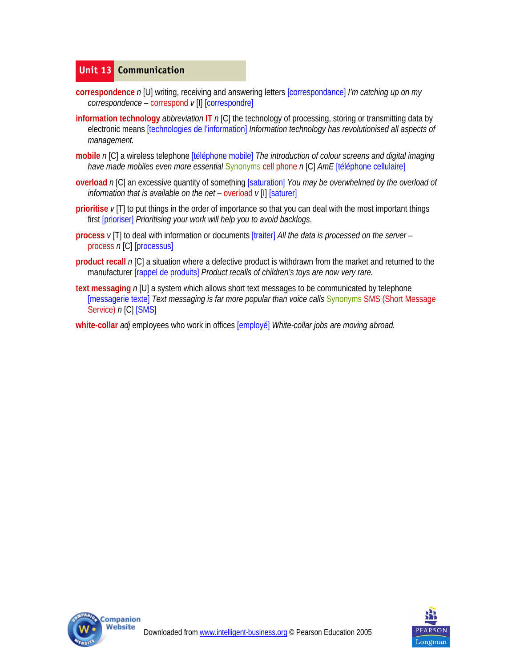# **Unit 13 Communication**

- **correspondence** *n* [U] writing, receiving and answering letters [correspondance] *I'm catching up on my correspondence* – correspond *v* [I] [correspondre]
- **information technology** *abbreviation* **IT** *n* [C] the technology of processing, storing or transmitting data by electronic means [technologies de l'information] *Information technology has revolutionised all aspects of management.*
- **mobile** *n* [C] a wireless telephone [téléphone mobile] *The introduction of colour screens and digital imaging have made mobiles even more essential* Synonyms cell phone *n* [C] *AmE* [téléphone cellulaire]
- **overload** *n* [C] an excessive quantity of something [saturation] *You may be overwhelmed by the overload of information that is available on the net* – overload  $v[1]$  [saturer]
- **prioritise**  $v$ [T] to put things in the order of importance so that you can deal with the most important things first [prioriser] *Prioritising your work will help you to avoid backlogs*.
- **process** *v* [T] to deal with information or documents [traiter] *All the data is processed on the server*  process *n* [C] [processus]
- **product recall** *n* [C] a situation where a defective product is withdrawn from the market and returned to the manufacturer [rappel de produits] *Product recalls of children's toys are now very rare.*
- **text messaging** *n* [U] a system which allows short text messages to be communicated by telephone [messagerie texte] *Text messaging is far more popular than voice calls* Synonyms SMS (Short Message Service) *n* [C] [SMS]
- **white-collar** *adj* employees who work in offices [employé] *White-collar jobs are moving abroad.*



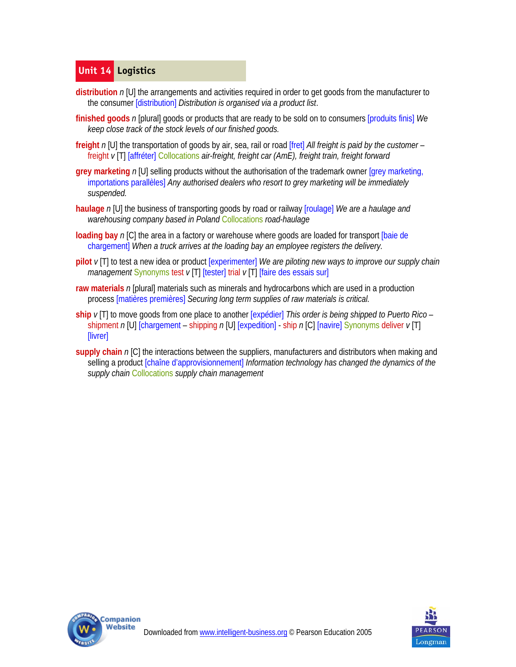# **Unit 14 Logistics**

- **distribution** *n* [U] the arrangements and activities required in order to get goods from the manufacturer to the consumer [distribution] *Distribution is organised via a product list*.
- **finished goods** *n* [plural] goods or products that are ready to be sold on to consumers [produits finis] *We keep close track of the stock levels of our finished goods.*
- **freight** *n* [U] the transportation of goods by air, sea, rail or road [fret] *All freight is paid by the customer* freight *v* [T] [affréter] Collocations *air-freight, freight car (AmE), freight train, freight forward*
- **grey marketing** *n* [U] selling products without the authorisation of the trademark owner [grey marketing, importations parallèles] *Any authorised dealers who resort to grey marketing will be immediately suspended.*
- **haulage** *n* [U] the business of transporting goods by road or railway [roulage] *We are a haulage and warehousing company based in Poland* Collocations *road-haulage*
- **loading bay** *n* [C] the area in a factory or warehouse where goods are loaded for transport [baie de chargement] *When a truck arrives at the loading bay an employee registers the delivery.*
- **pilot** *v* [T] to test a new idea or product [experimenter] *We are piloting new ways to improve our supply chain management* Synonyms test  $\nu$  [T] [tester] trial  $\nu$  [T] [faire des essais sur]
- **raw materials** *n* [plural] materials such as minerals and hydrocarbons which are used in a production process [matières premières] *Securing long term supplies of raw materials is critical.*
- **ship** *v* [T] to move goods from one place to another [expédier] *This order is being shipped to Puerto Rico*  shipment *n* [U] [chargement – shipping *n* [U] [expedition] - ship *n* [C] [navire] Synonyms deliver *v* [T] [livrer]
- **supply chain** *n* [C] the interactions between the suppliers, manufacturers and distributors when making and selling a product [chaîne d'approvisionnement] *Information technology has changed the dynamics of the supply chain* Collocations *supply chain management*